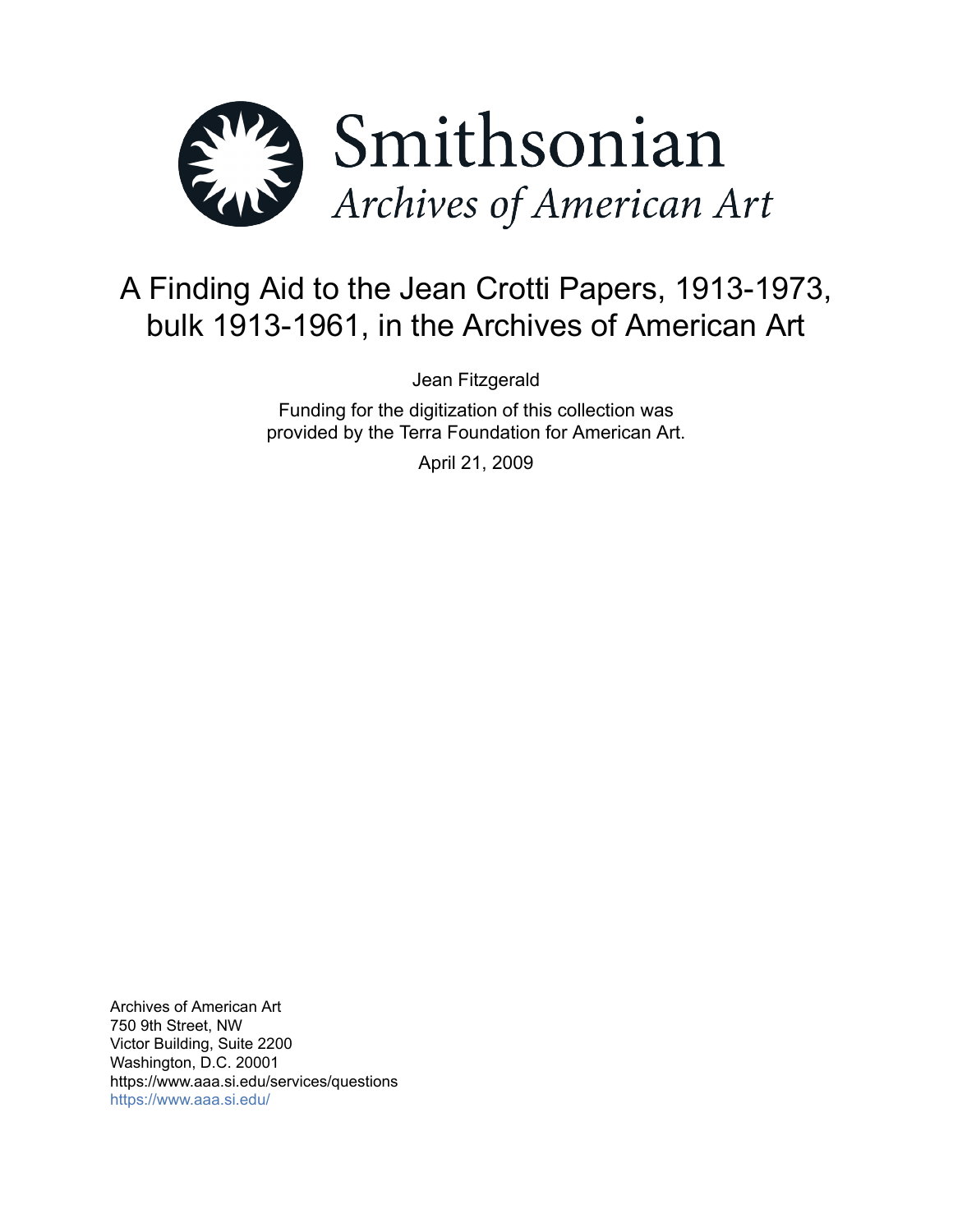

# A Finding Aid to the Jean Crotti Papers, 1913-1973, bulk 1913-1961, in the Archives of American Art

Jean Fitzgerald

Funding for the digitization of this collection was provided by the Terra Foundation for American Art.

April 21, 2009

Archives of American Art 750 9th Street, NW Victor Building, Suite 2200 Washington, D.C. 20001 https://www.aaa.si.edu/services/questions <https://www.aaa.si.edu/>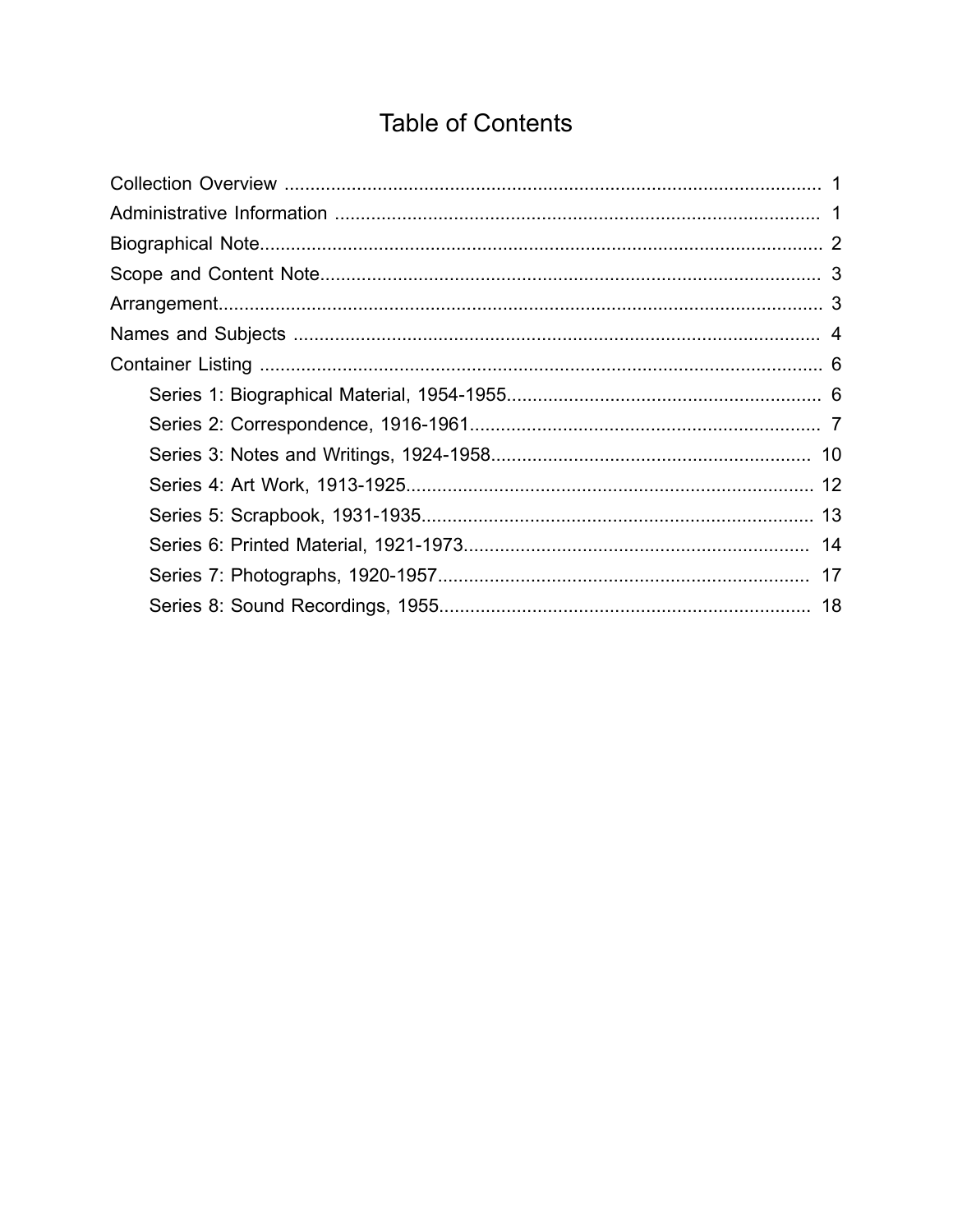# **Table of Contents**

<span id="page-1-0"></span>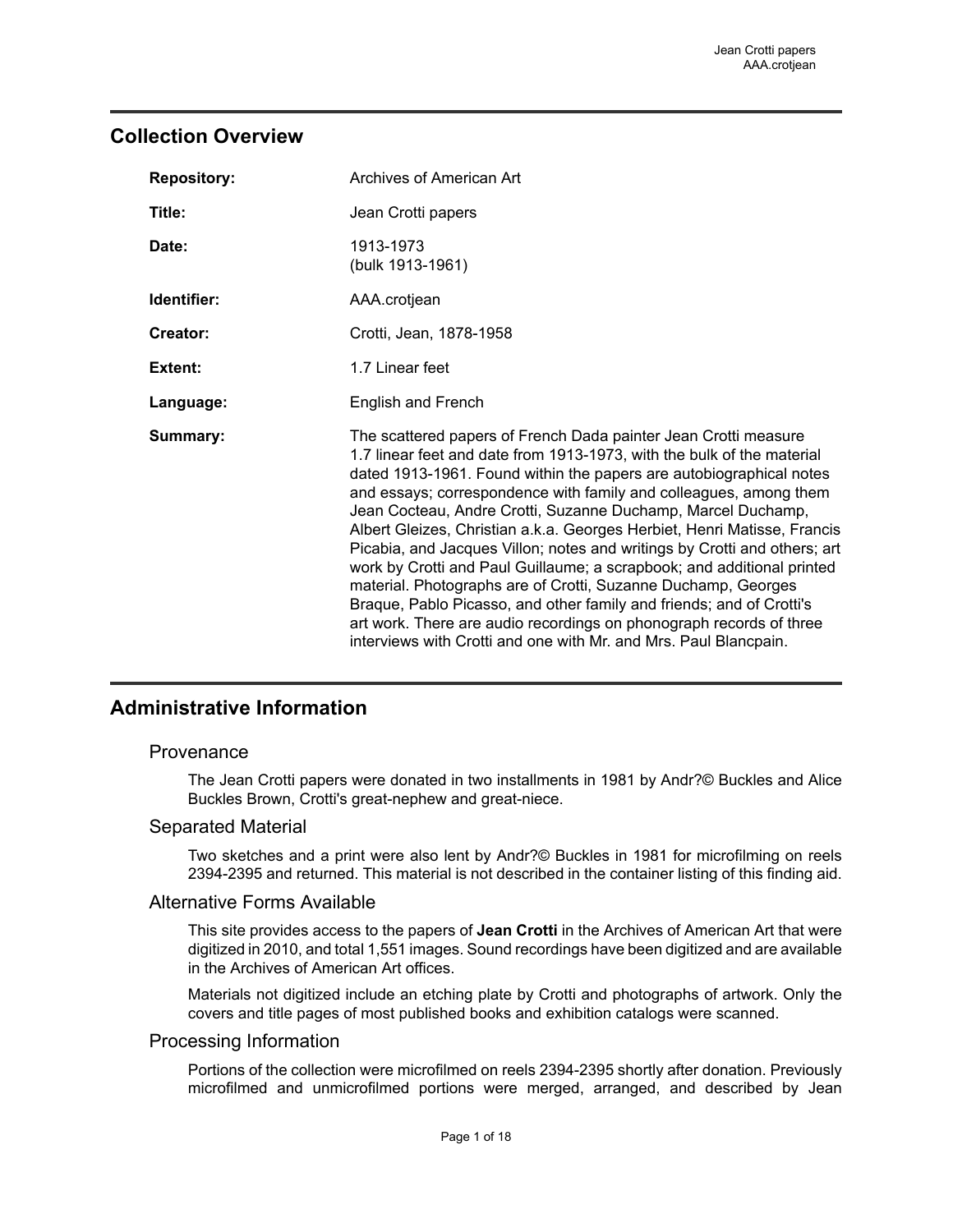### <span id="page-2-0"></span>**Collection Overview**

| <b>Repository:</b> | Archives of American Art                                                                                                                                                                                                                                                                                                                                                                                                                                                                                                                                                                                                                                                                                                                                                                                                                                                     |
|--------------------|------------------------------------------------------------------------------------------------------------------------------------------------------------------------------------------------------------------------------------------------------------------------------------------------------------------------------------------------------------------------------------------------------------------------------------------------------------------------------------------------------------------------------------------------------------------------------------------------------------------------------------------------------------------------------------------------------------------------------------------------------------------------------------------------------------------------------------------------------------------------------|
| Title:             | Jean Crotti papers                                                                                                                                                                                                                                                                                                                                                                                                                                                                                                                                                                                                                                                                                                                                                                                                                                                           |
| Date:              | 1913-1973<br>(bulk 1913-1961)                                                                                                                                                                                                                                                                                                                                                                                                                                                                                                                                                                                                                                                                                                                                                                                                                                                |
| Identifier:        | AAA.crotjean                                                                                                                                                                                                                                                                                                                                                                                                                                                                                                                                                                                                                                                                                                                                                                                                                                                                 |
| Creator:           | Crotti, Jean, 1878-1958                                                                                                                                                                                                                                                                                                                                                                                                                                                                                                                                                                                                                                                                                                                                                                                                                                                      |
| Extent:            | 1.7 Linear feet                                                                                                                                                                                                                                                                                                                                                                                                                                                                                                                                                                                                                                                                                                                                                                                                                                                              |
| Language:          | <b>English and French</b>                                                                                                                                                                                                                                                                                                                                                                                                                                                                                                                                                                                                                                                                                                                                                                                                                                                    |
| Summary:           | The scattered papers of French Dada painter Jean Crotti measure<br>1.7 linear feet and date from 1913-1973, with the bulk of the material<br>dated 1913-1961. Found within the papers are autobiographical notes<br>and essays; correspondence with family and colleagues, among them<br>Jean Cocteau, Andre Crotti, Suzanne Duchamp, Marcel Duchamp,<br>Albert Gleizes, Christian a.k.a. Georges Herbiet, Henri Matisse, Francis<br>Picabia, and Jacques Villon; notes and writings by Crotti and others; art<br>work by Crotti and Paul Guillaume; a scrapbook; and additional printed<br>material. Photographs are of Crotti, Suzanne Duchamp, Georges<br>Braque, Pablo Picasso, and other family and friends; and of Crotti's<br>art work. There are audio recordings on phonograph records of three<br>interviews with Crotti and one with Mr. and Mrs. Paul Blancpain. |

## <span id="page-2-1"></span>**Administrative Information**

### Provenance

The Jean Crotti papers were donated in two installments in 1981 by Andr?© Buckles and Alice Buckles Brown, Crotti's great-nephew and great-niece.

### Separated Material

Two sketches and a print were also lent by Andr?© Buckles in 1981 for microfilming on reels 2394-2395 and returned. This material is not described in the container listing of this finding aid.

#### Alternative Forms Available

This site provides access to the papers of **Jean Crotti** in the Archives of American Art that were digitized in 2010, and total 1,551 images. Sound recordings have been digitized and are available in the Archives of American Art offices.

Materials not digitized include an etching plate by Crotti and photographs of artwork. Only the covers and title pages of most published books and exhibition catalogs were scanned.

#### Processing Information

Portions of the collection were microfilmed on reels 2394-2395 shortly after donation. Previously microfilmed and unmicrofilmed portions were merged, arranged, and described by Jean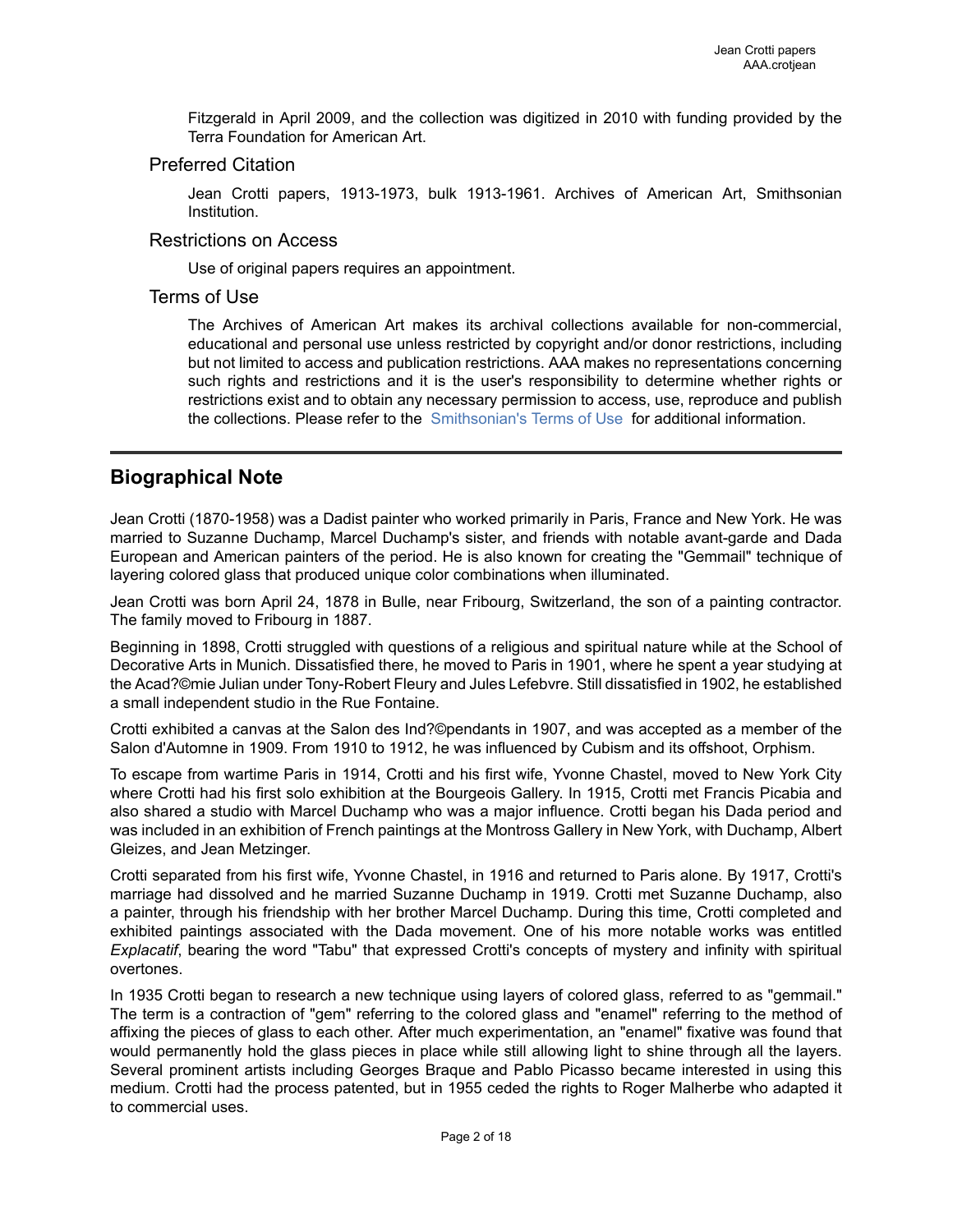Fitzgerald in April 2009, and the collection was digitized in 2010 with funding provided by the Terra Foundation for American Art.

#### Preferred Citation

Jean Crotti papers, 1913-1973, bulk 1913-1961. Archives of American Art, Smithsonian Institution.

#### Restrictions on Access

Use of original papers requires an appointment.

#### Terms of Use

The Archives of American Art makes its archival collections available for non-commercial, educational and personal use unless restricted by copyright and/or donor restrictions, including but not limited to access and publication restrictions. AAA makes no representations concerning such rights and restrictions and it is the user's responsibility to determine whether rights or restrictions exist and to obtain any necessary permission to access, use, reproduce and publish the collections. Please refer to the [Smithsonian's](https://www.si.edu/termsofuse) Terms of Use for additional information.

### <span id="page-3-0"></span>**Biographical Note**

Jean Crotti (1870-1958) was a Dadist painter who worked primarily in Paris, France and New York. He was married to Suzanne Duchamp, Marcel Duchamp's sister, and friends with notable avant-garde and Dada European and American painters of the period. He is also known for creating the "Gemmail" technique of layering colored glass that produced unique color combinations when illuminated.

Jean Crotti was born April 24, 1878 in Bulle, near Fribourg, Switzerland, the son of a painting contractor. The family moved to Fribourg in 1887.

Beginning in 1898, Crotti struggled with questions of a religious and spiritual nature while at the School of Decorative Arts in Munich. Dissatisfied there, he moved to Paris in 1901, where he spent a year studying at the Acad?©mie Julian under Tony-Robert Fleury and Jules Lefebvre. Still dissatisfied in 1902, he established a small independent studio in the Rue Fontaine.

Crotti exhibited a canvas at the Salon des Ind?©pendants in 1907, and was accepted as a member of the Salon d'Automne in 1909. From 1910 to 1912, he was influenced by Cubism and its offshoot, Orphism.

To escape from wartime Paris in 1914, Crotti and his first wife, Yvonne Chastel, moved to New York City where Crotti had his first solo exhibition at the Bourgeois Gallery. In 1915, Crotti met Francis Picabia and also shared a studio with Marcel Duchamp who was a major influence. Crotti began his Dada period and was included in an exhibition of French paintings at the Montross Gallery in New York, with Duchamp, Albert Gleizes, and Jean Metzinger.

Crotti separated from his first wife, Yvonne Chastel, in 1916 and returned to Paris alone. By 1917, Crotti's marriage had dissolved and he married Suzanne Duchamp in 1919. Crotti met Suzanne Duchamp, also a painter, through his friendship with her brother Marcel Duchamp. During this time, Crotti completed and exhibited paintings associated with the Dada movement. One of his more notable works was entitled *Explacatif*, bearing the word "Tabu" that expressed Crotti's concepts of mystery and infinity with spiritual overtones.

In 1935 Crotti began to research a new technique using layers of colored glass, referred to as "gemmail." The term is a contraction of "gem" referring to the colored glass and "enamel" referring to the method of affixing the pieces of glass to each other. After much experimentation, an "enamel" fixative was found that would permanently hold the glass pieces in place while still allowing light to shine through all the layers. Several prominent artists including Georges Braque and Pablo Picasso became interested in using this medium. Crotti had the process patented, but in 1955 ceded the rights to Roger Malherbe who adapted it to commercial uses.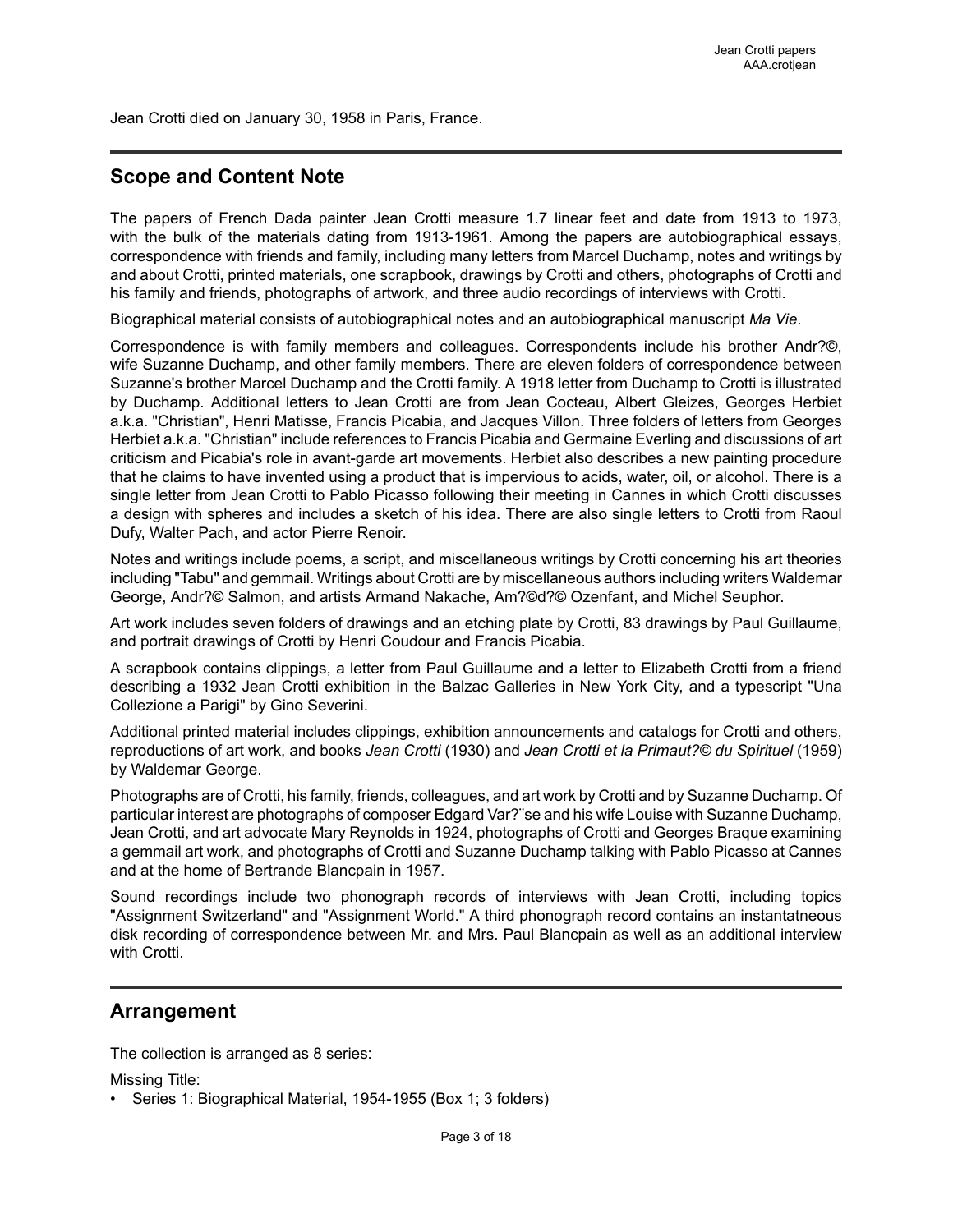Jean Crotti died on January 30, 1958 in Paris, France.

## <span id="page-4-0"></span>**Scope and Content Note**

The papers of French Dada painter Jean Crotti measure 1.7 linear feet and date from 1913 to 1973, with the bulk of the materials dating from 1913-1961. Among the papers are autobiographical essays, correspondence with friends and family, including many letters from Marcel Duchamp, notes and writings by and about Crotti, printed materials, one scrapbook, drawings by Crotti and others, photographs of Crotti and his family and friends, photographs of artwork, and three audio recordings of interviews with Crotti.

Biographical material consists of autobiographical notes and an autobiographical manuscript *Ma Vie*.

Correspondence is with family members and colleagues. Correspondents include his brother Andr?©, wife Suzanne Duchamp, and other family members. There are eleven folders of correspondence between Suzanne's brother Marcel Duchamp and the Crotti family. A 1918 letter from Duchamp to Crotti is illustrated by Duchamp. Additional letters to Jean Crotti are from Jean Cocteau, Albert Gleizes, Georges Herbiet a.k.a. "Christian", Henri Matisse, Francis Picabia, and Jacques Villon. Three folders of letters from Georges Herbiet a.k.a. "Christian" include references to Francis Picabia and Germaine Everling and discussions of art criticism and Picabia's role in avant-garde art movements. Herbiet also describes a new painting procedure that he claims to have invented using a product that is impervious to acids, water, oil, or alcohol. There is a single letter from Jean Crotti to Pablo Picasso following their meeting in Cannes in which Crotti discusses a design with spheres and includes a sketch of his idea. There are also single letters to Crotti from Raoul Dufy, Walter Pach, and actor Pierre Renoir.

Notes and writings include poems, a script, and miscellaneous writings by Crotti concerning his art theories including "Tabu" and gemmail. Writings about Crotti are by miscellaneous authors including writers Waldemar George, Andr?© Salmon, and artists Armand Nakache, Am?©d?© Ozenfant, and Michel Seuphor.

Art work includes seven folders of drawings and an etching plate by Crotti, 83 drawings by Paul Guillaume, and portrait drawings of Crotti by Henri Coudour and Francis Picabia.

A scrapbook contains clippings, a letter from Paul Guillaume and a letter to Elizabeth Crotti from a friend describing a 1932 Jean Crotti exhibition in the Balzac Galleries in New York City, and a typescript "Una Collezione a Parigi" by Gino Severini.

Additional printed material includes clippings, exhibition announcements and catalogs for Crotti and others, reproductions of art work, and books *Jean Crotti* (1930) and *Jean Crotti et la Primaut?© du Spirituel* (1959) by Waldemar George.

Photographs are of Crotti, his family, friends, colleagues, and art work by Crotti and by Suzanne Duchamp. Of particular interest are photographs of composer Edgard Var?¨se and his wife Louise with Suzanne Duchamp, Jean Crotti, and art advocate Mary Reynolds in 1924, photographs of Crotti and Georges Braque examining a gemmail art work, and photographs of Crotti and Suzanne Duchamp talking with Pablo Picasso at Cannes and at the home of Bertrande Blancpain in 1957.

Sound recordings include two phonograph records of interviews with Jean Crotti, including topics "Assignment Switzerland" and "Assignment World." A third phonograph record contains an instantatneous disk recording of correspondence between Mr. and Mrs. Paul Blancpain as well as an additional interview with Crotti.

## <span id="page-4-1"></span>**Arrangement**

The collection is arranged as 8 series:

Missing Title:

• Series 1: Biographical Material, 1954-1955 (Box 1; 3 folders)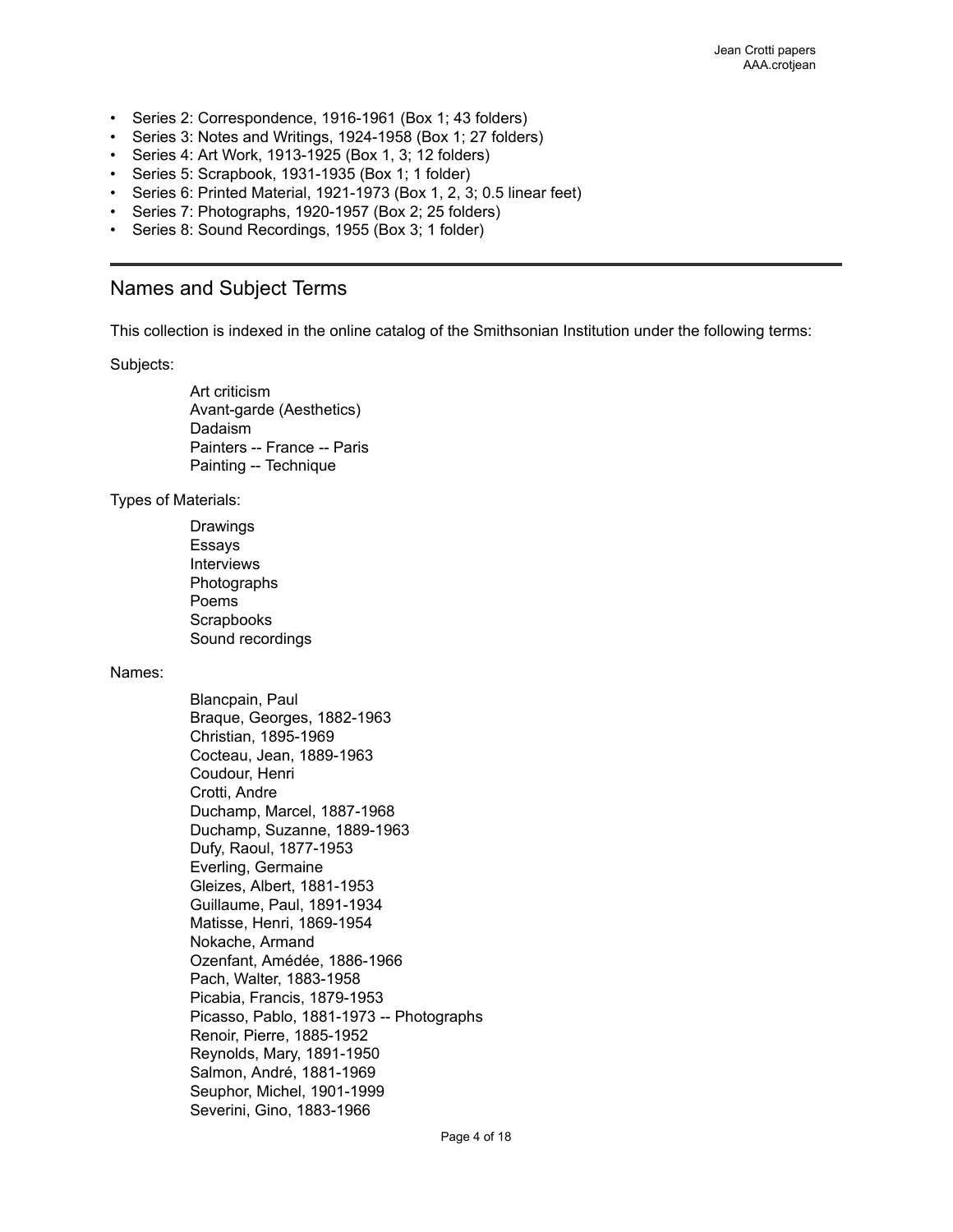- Series 2: Correspondence, 1916-1961 (Box 1; 43 folders)
- Series 3: Notes and Writings, 1924-1958 (Box 1; 27 folders)
- Series 4: Art Work, 1913-1925 (Box 1, 3; 12 folders)
- Series 5: Scrapbook, 1931-1935 (Box 1; 1 folder)
- Series 6: Printed Material, 1921-1973 (Box 1, 2, 3; 0.5 linear feet)
- Series 7: Photographs, 1920-1957 (Box 2; 25 folders)
- Series 8: Sound Recordings, 1955 (Box 3; 1 folder)

### <span id="page-5-0"></span>Names and Subject Terms

This collection is indexed in the online catalog of the Smithsonian Institution under the following terms:

Subjects:

Art criticism Avant-garde (Aesthetics) Dadaism Painters -- France -- Paris Painting -- Technique

Types of Materials:

Drawings Essays Interviews Photographs Poems **Scrapbooks** Sound recordings

#### Names:

Blancpain, Paul Braque, Georges, 1882-1963 Christian, 1895-1969 Cocteau, Jean, 1889-1963 Coudour, Henri Crotti, Andre Duchamp, Marcel, 1887-1968 Duchamp, Suzanne, 1889-1963 Dufy, Raoul, 1877-1953 Everling, Germaine Gleizes, Albert, 1881-1953 Guillaume, Paul, 1891-1934 Matisse, Henri, 1869-1954 Nokache, Armand Ozenfant, Amédée, 1886-1966 Pach, Walter, 1883-1958 Picabia, Francis, 1879-1953 Picasso, Pablo, 1881-1973 -- Photographs Renoir, Pierre, 1885-1952 Reynolds, Mary, 1891-1950 Salmon, André, 1881-1969 Seuphor, Michel, 1901-1999 Severini, Gino, 1883-1966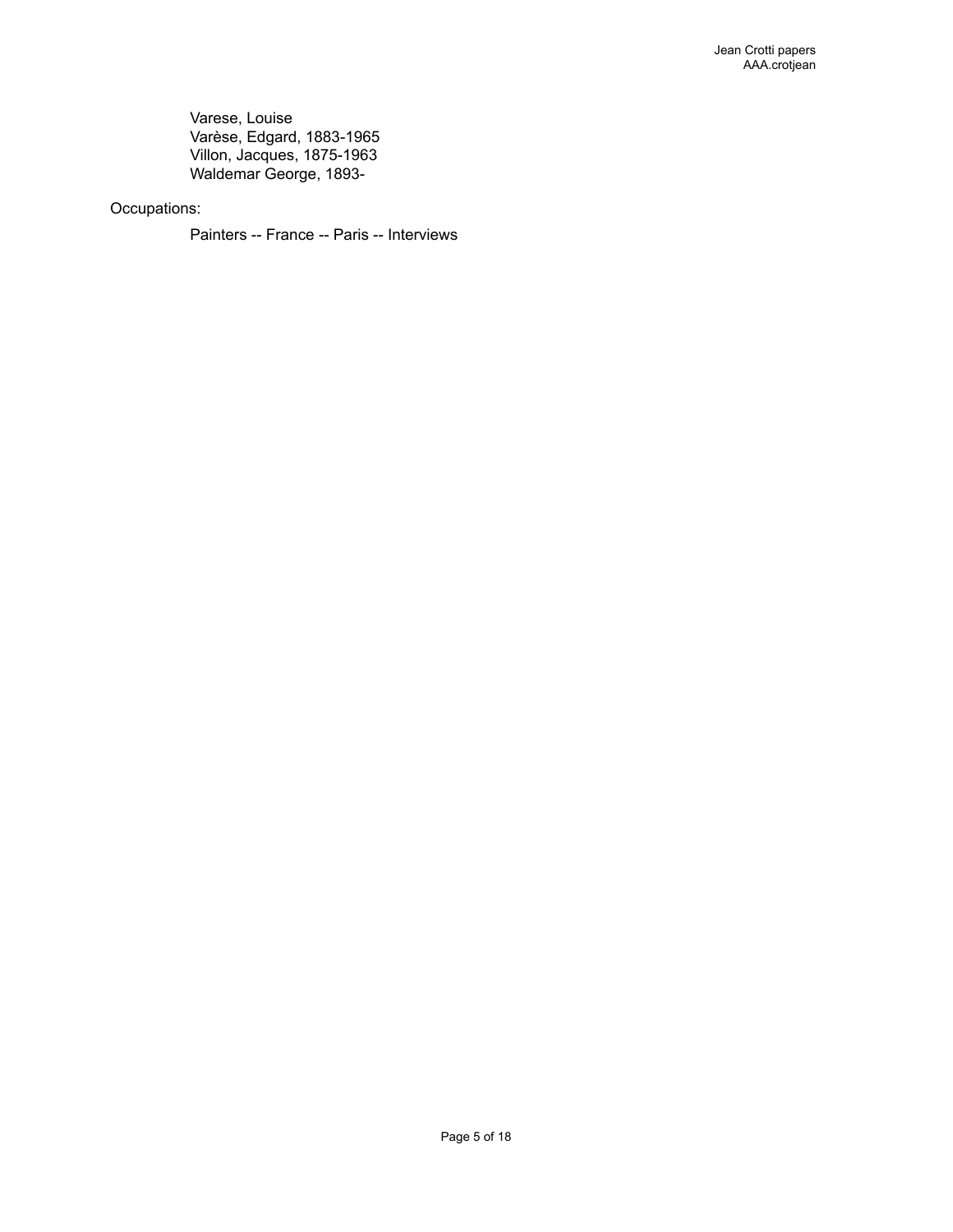Varese, Louise Varèse, Edgard, 1883-1965 Villon, Jacques, 1875-1963 Waldemar George, 1893-

### Occupations:

Painters -- France -- Paris -- Interviews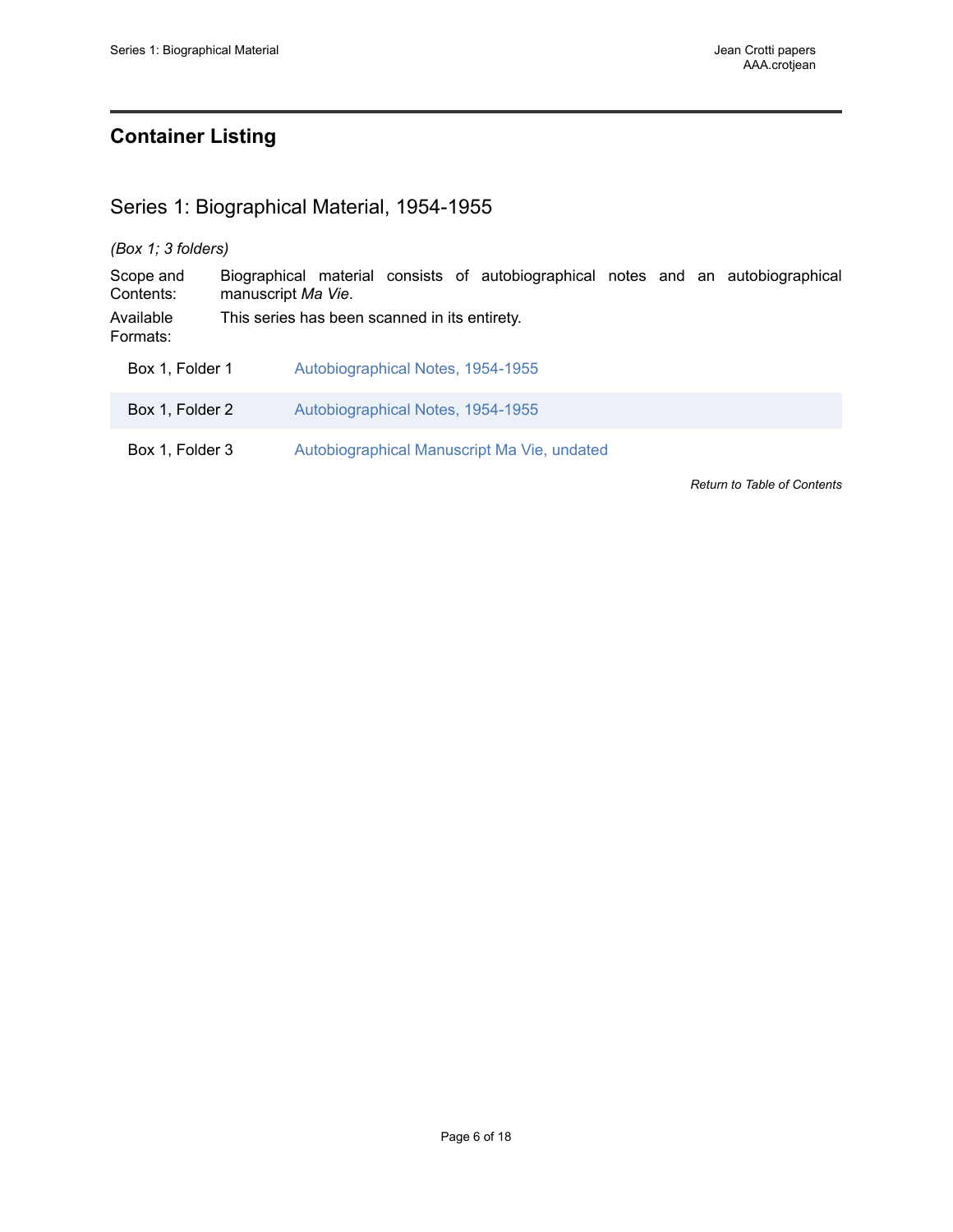# <span id="page-7-0"></span>**Container Listing**

## <span id="page-7-1"></span>Series 1: Biographical Material, 1954-1955

### *(Box 1; 3 folders)*

Scope and Contents: Biographical material consists of autobiographical notes and an autobiographical manuscript *Ma Vie*. Available Formats: This series has been scanned in its entirety. Box 1, Folder 1 [Autobiographical Notes, 1954-1955](https://edan.si.edu/slideshow/slideshowViewer.htm?damspath=/CollectionsOnline/crotjean/Box_0001/Folder_001) Box 1, Folder 2 [Autobiographical Notes, 1954-1955](https://edan.si.edu/slideshow/slideshowViewer.htm?damspath=/CollectionsOnline/crotjean/Box_0001/Folder_002) Box 1, Folder 3 [Autobiographical](https://edan.si.edu/slideshow/slideshowViewer.htm?damspath=/CollectionsOnline/crotjean/Box_0001/Folder_003) Manuscript Ma Vie, undated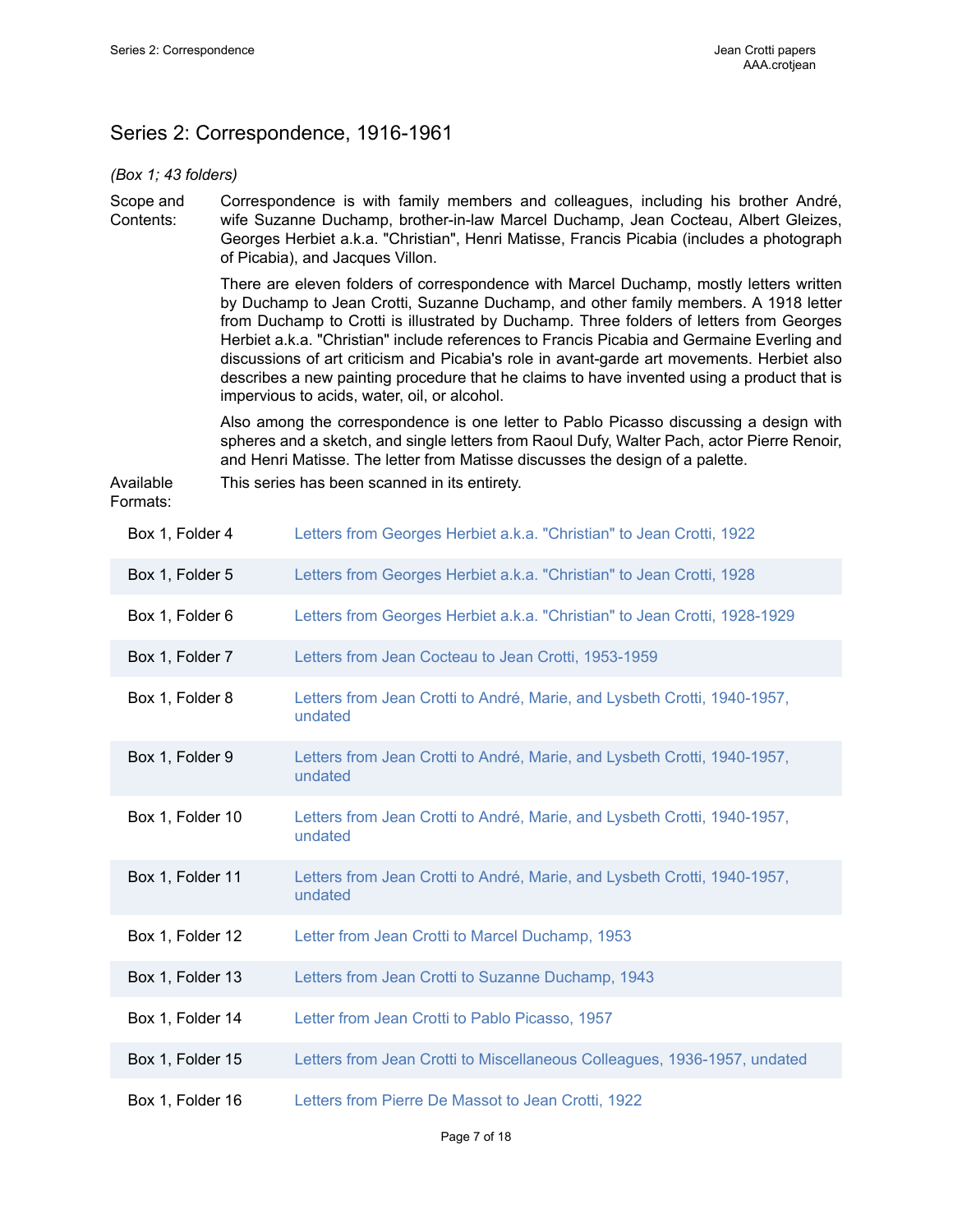# <span id="page-8-0"></span>Series 2: Correspondence, 1916-1961

*(Box 1; 43 folders)*

Scope and Contents: Correspondence is with family members and colleagues, including his brother André, wife Suzanne Duchamp, brother-in-law Marcel Duchamp, Jean Cocteau, Albert Gleizes, Georges Herbiet a.k.a. "Christian", Henri Matisse, Francis Picabia (includes a photograph of Picabia), and Jacques Villon.

This series has been scanned in its entirety.

There are eleven folders of correspondence with Marcel Duchamp, mostly letters written by Duchamp to Jean Crotti, Suzanne Duchamp, and other family members. A 1918 letter from Duchamp to Crotti is illustrated by Duchamp. Three folders of letters from Georges Herbiet a.k.a. "Christian" include references to Francis Picabia and Germaine Everling and discussions of art criticism and Picabia's role in avant-garde art movements. Herbiet also describes a new painting procedure that he claims to have invented using a product that is impervious to acids, water, oil, or alcohol.

Also among the correspondence is one letter to Pablo Picasso discussing a design with spheres and a sketch, and single letters from Raoul Dufy, Walter Pach, actor Pierre Renoir, and Henri Matisse. The letter from Matisse discusses the design of a palette.

Available  $s:$ 

| Box 1, Folder 4  | Letters from Georges Herbiet a.k.a. "Christian" to Jean Crotti, 1922                |
|------------------|-------------------------------------------------------------------------------------|
| Box 1, Folder 5  | Letters from Georges Herbiet a.k.a. "Christian" to Jean Crotti, 1928                |
| Box 1, Folder 6  | Letters from Georges Herbiet a.k.a. "Christian" to Jean Crotti, 1928-1929           |
| Box 1, Folder 7  | Letters from Jean Cocteau to Jean Crotti, 1953-1959                                 |
| Box 1, Folder 8  | Letters from Jean Crotti to André, Marie, and Lysbeth Crotti, 1940-1957,<br>undated |
| Box 1, Folder 9  | Letters from Jean Crotti to André, Marie, and Lysbeth Crotti, 1940-1957,<br>undated |
| Box 1, Folder 10 | Letters from Jean Crotti to André, Marie, and Lysbeth Crotti, 1940-1957,<br>undated |
| Box 1, Folder 11 | Letters from Jean Crotti to André, Marie, and Lysbeth Crotti, 1940-1957,<br>undated |
| Box 1, Folder 12 | Letter from Jean Crotti to Marcel Duchamp, 1953                                     |
| Box 1, Folder 13 | Letters from Jean Crotti to Suzanne Duchamp, 1943                                   |
| Box 1, Folder 14 | Letter from Jean Crotti to Pablo Picasso, 1957                                      |
| Box 1, Folder 15 | Letters from Jean Crotti to Miscellaneous Colleagues, 1936-1957, undated            |
| Box 1, Folder 16 | Letters from Pierre De Massot to Jean Crotti, 1922                                  |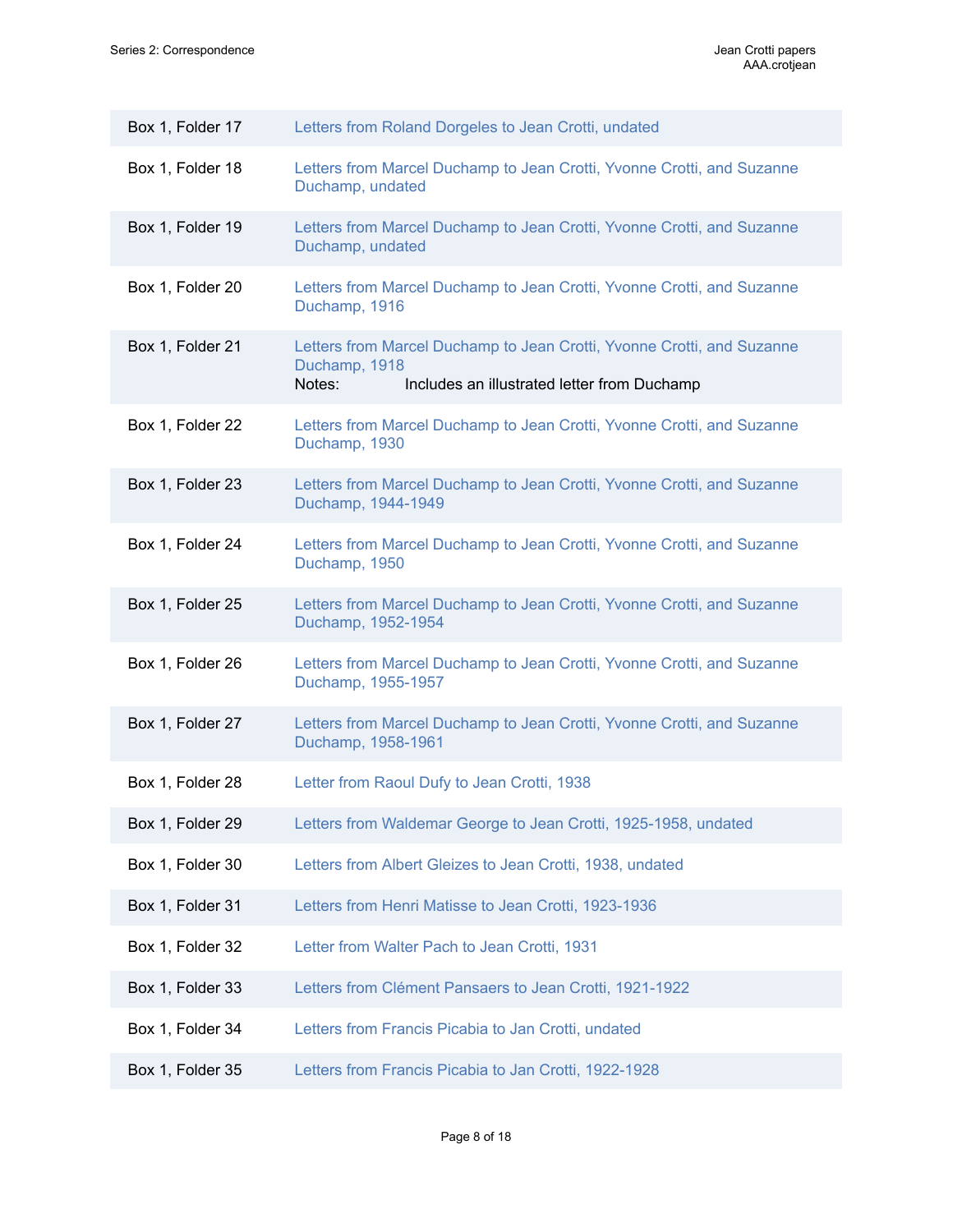| Box 1, Folder 17 | Letters from Roland Dorgeles to Jean Crotti, undated                                                                                             |
|------------------|--------------------------------------------------------------------------------------------------------------------------------------------------|
| Box 1, Folder 18 | Letters from Marcel Duchamp to Jean Crotti, Yvonne Crotti, and Suzanne<br>Duchamp, undated                                                       |
| Box 1, Folder 19 | Letters from Marcel Duchamp to Jean Crotti, Yvonne Crotti, and Suzanne<br>Duchamp, undated                                                       |
| Box 1, Folder 20 | Letters from Marcel Duchamp to Jean Crotti, Yvonne Crotti, and Suzanne<br>Duchamp, 1916                                                          |
| Box 1, Folder 21 | Letters from Marcel Duchamp to Jean Crotti, Yvonne Crotti, and Suzanne<br>Duchamp, 1918<br>Includes an illustrated letter from Duchamp<br>Notes: |
| Box 1, Folder 22 | Letters from Marcel Duchamp to Jean Crotti, Yvonne Crotti, and Suzanne<br>Duchamp, 1930                                                          |
| Box 1, Folder 23 | Letters from Marcel Duchamp to Jean Crotti, Yvonne Crotti, and Suzanne<br>Duchamp, 1944-1949                                                     |
| Box 1, Folder 24 | Letters from Marcel Duchamp to Jean Crotti, Yvonne Crotti, and Suzanne<br>Duchamp, 1950                                                          |
| Box 1, Folder 25 | Letters from Marcel Duchamp to Jean Crotti, Yvonne Crotti, and Suzanne<br>Duchamp, 1952-1954                                                     |
| Box 1, Folder 26 | Letters from Marcel Duchamp to Jean Crotti, Yvonne Crotti, and Suzanne<br>Duchamp, 1955-1957                                                     |
| Box 1, Folder 27 | Letters from Marcel Duchamp to Jean Crotti, Yvonne Crotti, and Suzanne<br>Duchamp, 1958-1961                                                     |
| Box 1, Folder 28 | Letter from Raoul Dufy to Jean Crotti, 1938                                                                                                      |
| Box 1, Folder 29 | Letters from Waldemar George to Jean Crotti, 1925-1958, undated                                                                                  |
| Box 1, Folder 30 | Letters from Albert Gleizes to Jean Crotti, 1938, undated                                                                                        |
| Box 1, Folder 31 | Letters from Henri Matisse to Jean Crotti, 1923-1936                                                                                             |
| Box 1, Folder 32 | Letter from Walter Pach to Jean Crotti, 1931                                                                                                     |
| Box 1, Folder 33 | Letters from Clément Pansaers to Jean Crotti, 1921-1922                                                                                          |
| Box 1, Folder 34 | Letters from Francis Picabia to Jan Crotti, undated                                                                                              |
| Box 1, Folder 35 | Letters from Francis Picabia to Jan Crotti, 1922-1928                                                                                            |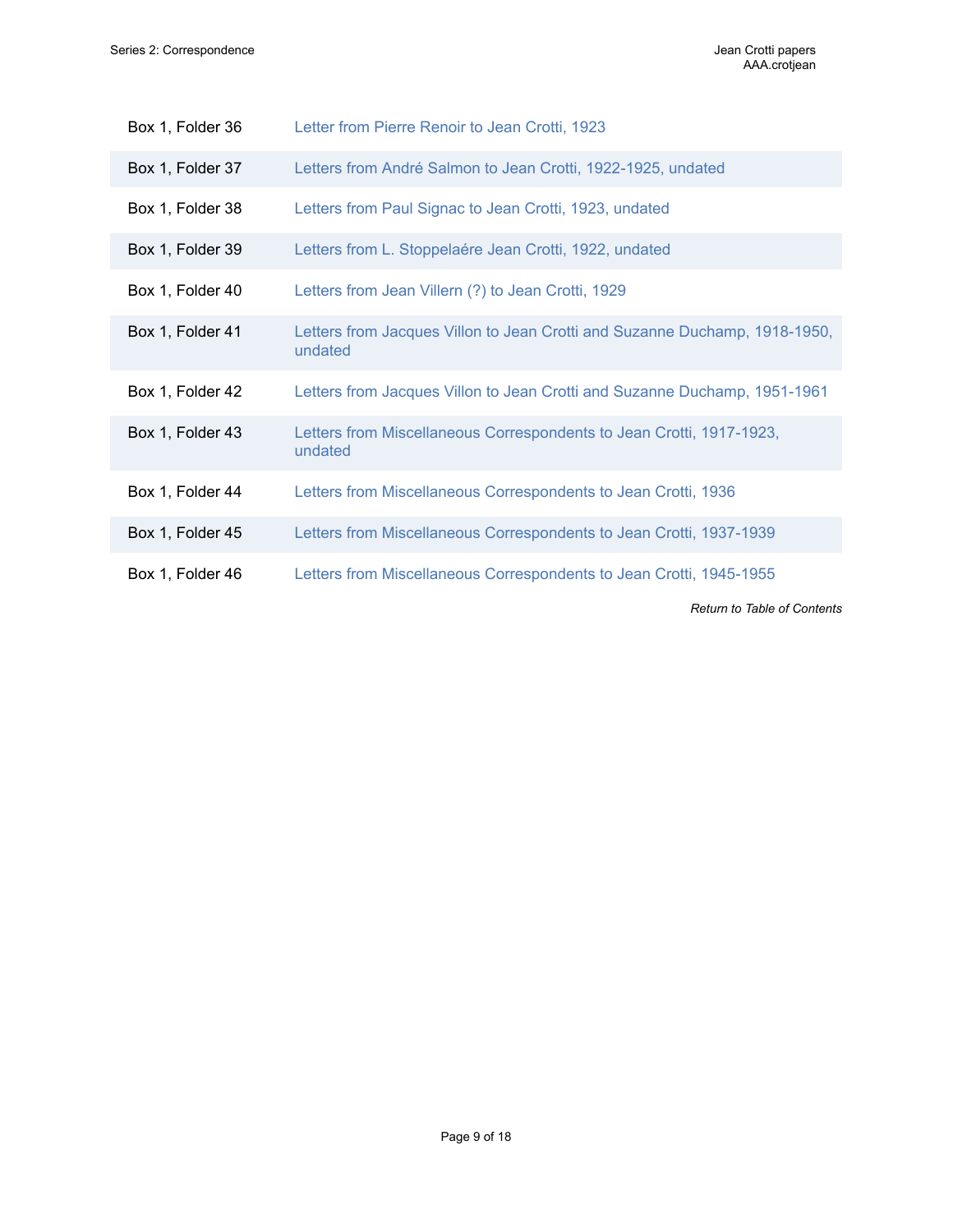| Box 1, Folder 36 | Letter from Pierre Renoir to Jean Crotti, 1923                                        |
|------------------|---------------------------------------------------------------------------------------|
| Box 1, Folder 37 | Letters from André Salmon to Jean Crotti, 1922-1925, undated                          |
| Box 1, Folder 38 | Letters from Paul Signac to Jean Crotti, 1923, undated                                |
| Box 1, Folder 39 | Letters from L. Stoppelaére Jean Crotti, 1922, undated                                |
| Box 1, Folder 40 | Letters from Jean Villern (?) to Jean Crotti, 1929                                    |
| Box 1, Folder 41 | Letters from Jacques Villon to Jean Crotti and Suzanne Duchamp, 1918-1950,<br>undated |
| Box 1, Folder 42 | Letters from Jacques Villon to Jean Crotti and Suzanne Duchamp, 1951-1961             |
| Box 1, Folder 43 | Letters from Miscellaneous Correspondents to Jean Crotti, 1917-1923,<br>undated       |
| Box 1, Folder 44 | Letters from Miscellaneous Correspondents to Jean Crotti, 1936                        |
| Box 1, Folder 45 | Letters from Miscellaneous Correspondents to Jean Crotti, 1937-1939                   |
| Box 1, Folder 46 | Letters from Miscellaneous Correspondents to Jean Crotti, 1945-1955                   |
|                  | <b>Return to Table of Contents</b>                                                    |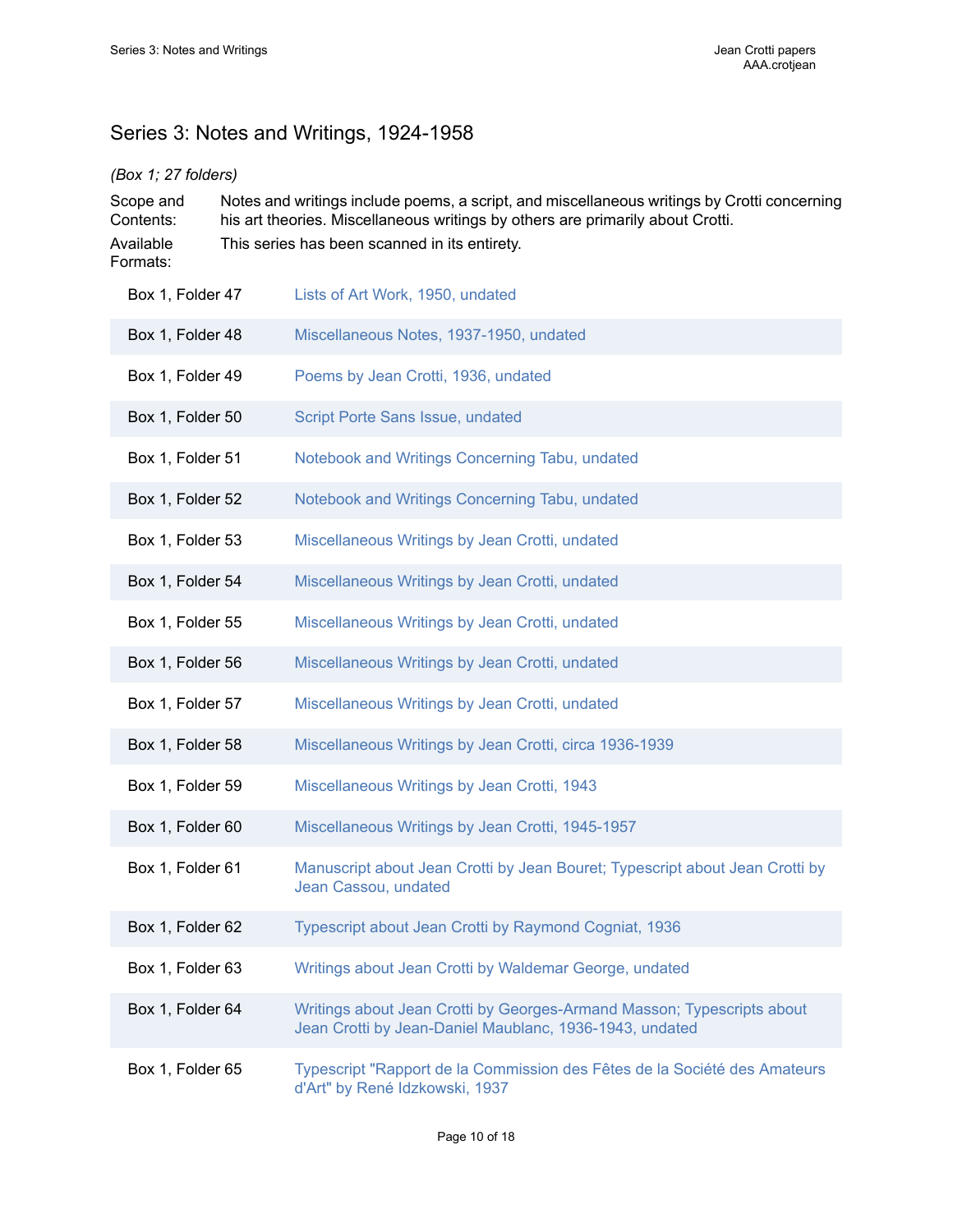# <span id="page-11-0"></span>Series 3: Notes and Writings, 1924-1958

### *(Box 1; 27 folders)*

| Scope and<br>Contents:<br>Available<br>Formats: | Notes and writings include poems, a script, and miscellaneous writings by Crotti concerning<br>his art theories. Miscellaneous writings by others are primarily about Crotti.<br>This series has been scanned in its entirety. |  |
|-------------------------------------------------|--------------------------------------------------------------------------------------------------------------------------------------------------------------------------------------------------------------------------------|--|
| Box 1, Folder 47                                | Lists of Art Work, 1950, undated                                                                                                                                                                                               |  |
| Box 1, Folder 48                                | Miscellaneous Notes, 1937-1950, undated                                                                                                                                                                                        |  |
| Box 1, Folder 49                                | Poems by Jean Crotti, 1936, undated                                                                                                                                                                                            |  |
| Box 1, Folder 50                                | Script Porte Sans Issue, undated                                                                                                                                                                                               |  |
| Box 1, Folder 51                                | Notebook and Writings Concerning Tabu, undated                                                                                                                                                                                 |  |
| Box 1, Folder 52                                | Notebook and Writings Concerning Tabu, undated                                                                                                                                                                                 |  |
| Box 1, Folder 53                                | Miscellaneous Writings by Jean Crotti, undated                                                                                                                                                                                 |  |
| Box 1, Folder 54                                | Miscellaneous Writings by Jean Crotti, undated                                                                                                                                                                                 |  |
| Box 1, Folder 55                                | Miscellaneous Writings by Jean Crotti, undated                                                                                                                                                                                 |  |
| Box 1, Folder 56                                | Miscellaneous Writings by Jean Crotti, undated                                                                                                                                                                                 |  |
| Box 1, Folder 57                                | Miscellaneous Writings by Jean Crotti, undated                                                                                                                                                                                 |  |
| Box 1, Folder 58                                | Miscellaneous Writings by Jean Crotti, circa 1936-1939                                                                                                                                                                         |  |
| Box 1, Folder 59                                | Miscellaneous Writings by Jean Crotti, 1943                                                                                                                                                                                    |  |
| Box 1, Folder 60                                | Miscellaneous Writings by Jean Crotti, 1945-1957                                                                                                                                                                               |  |
| Box 1, Folder 61                                | Manuscript about Jean Crotti by Jean Bouret; Typescript about Jean Crotti by<br>Jean Cassou, undated                                                                                                                           |  |
| Box 1, Folder 62                                | Typescript about Jean Crotti by Raymond Cogniat, 1936                                                                                                                                                                          |  |
| Box 1, Folder 63                                | Writings about Jean Crotti by Waldemar George, undated                                                                                                                                                                         |  |
| Box 1, Folder 64                                | Writings about Jean Crotti by Georges-Armand Masson; Typescripts about<br>Jean Crotti by Jean-Daniel Maublanc, 1936-1943, undated                                                                                              |  |
| Box 1, Folder 65                                | Typescript "Rapport de la Commission des Fêtes de la Société des Amateurs<br>d'Art" by René Idzkowski, 1937                                                                                                                    |  |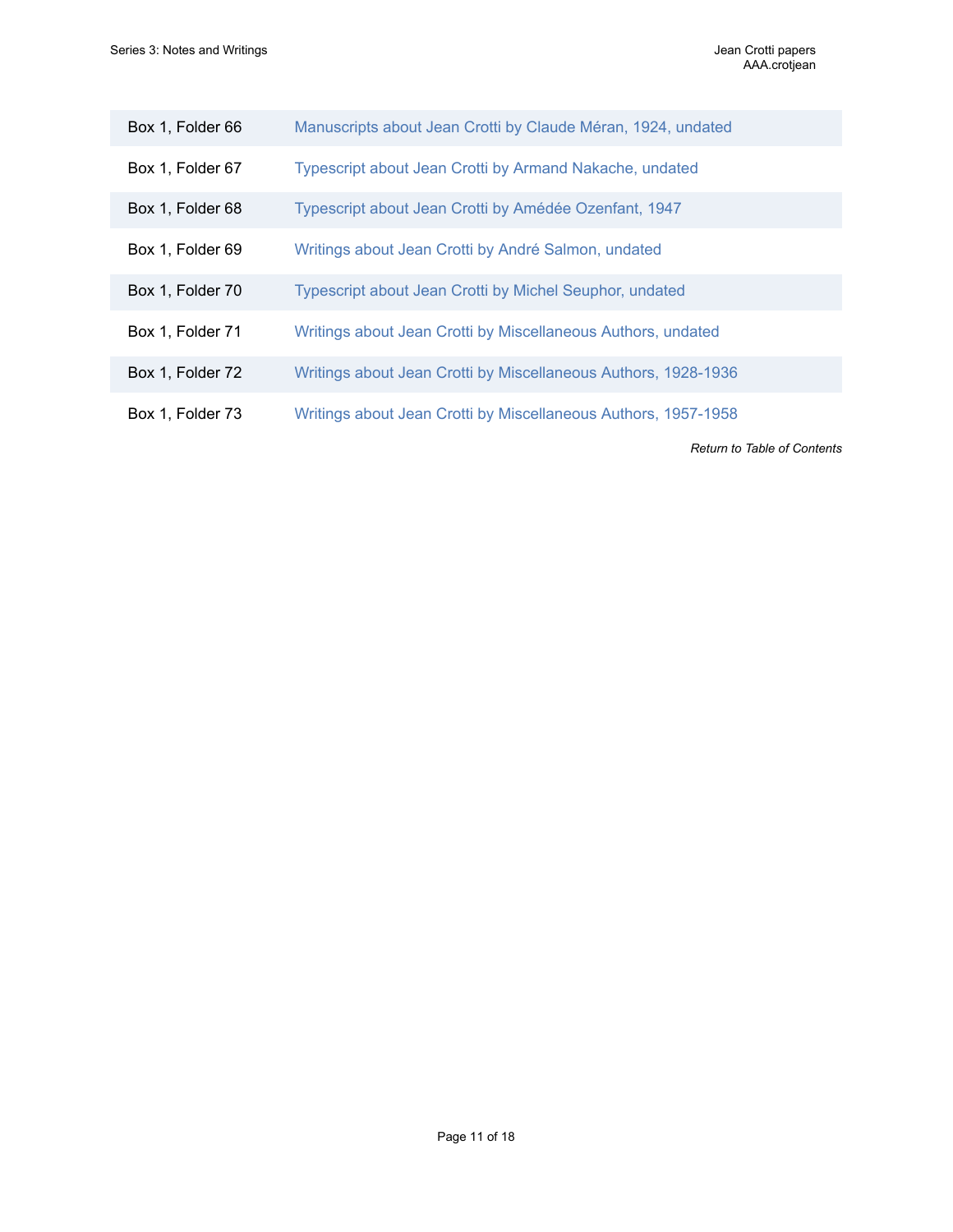| Box 1, Folder 66 | Manuscripts about Jean Crotti by Claude Méran, 1924, undated   |
|------------------|----------------------------------------------------------------|
| Box 1, Folder 67 | Typescript about Jean Crotti by Armand Nakache, undated        |
| Box 1, Folder 68 | Typescript about Jean Crotti by Amédée Ozenfant, 1947          |
| Box 1, Folder 69 | Writings about Jean Crotti by André Salmon, undated            |
| Box 1, Folder 70 | Typescript about Jean Crotti by Michel Seuphor, undated        |
| Box 1, Folder 71 | Writings about Jean Crotti by Miscellaneous Authors, undated   |
| Box 1, Folder 72 | Writings about Jean Crotti by Miscellaneous Authors, 1928-1936 |
| Box 1, Folder 73 | Writings about Jean Crotti by Miscellaneous Authors, 1957-1958 |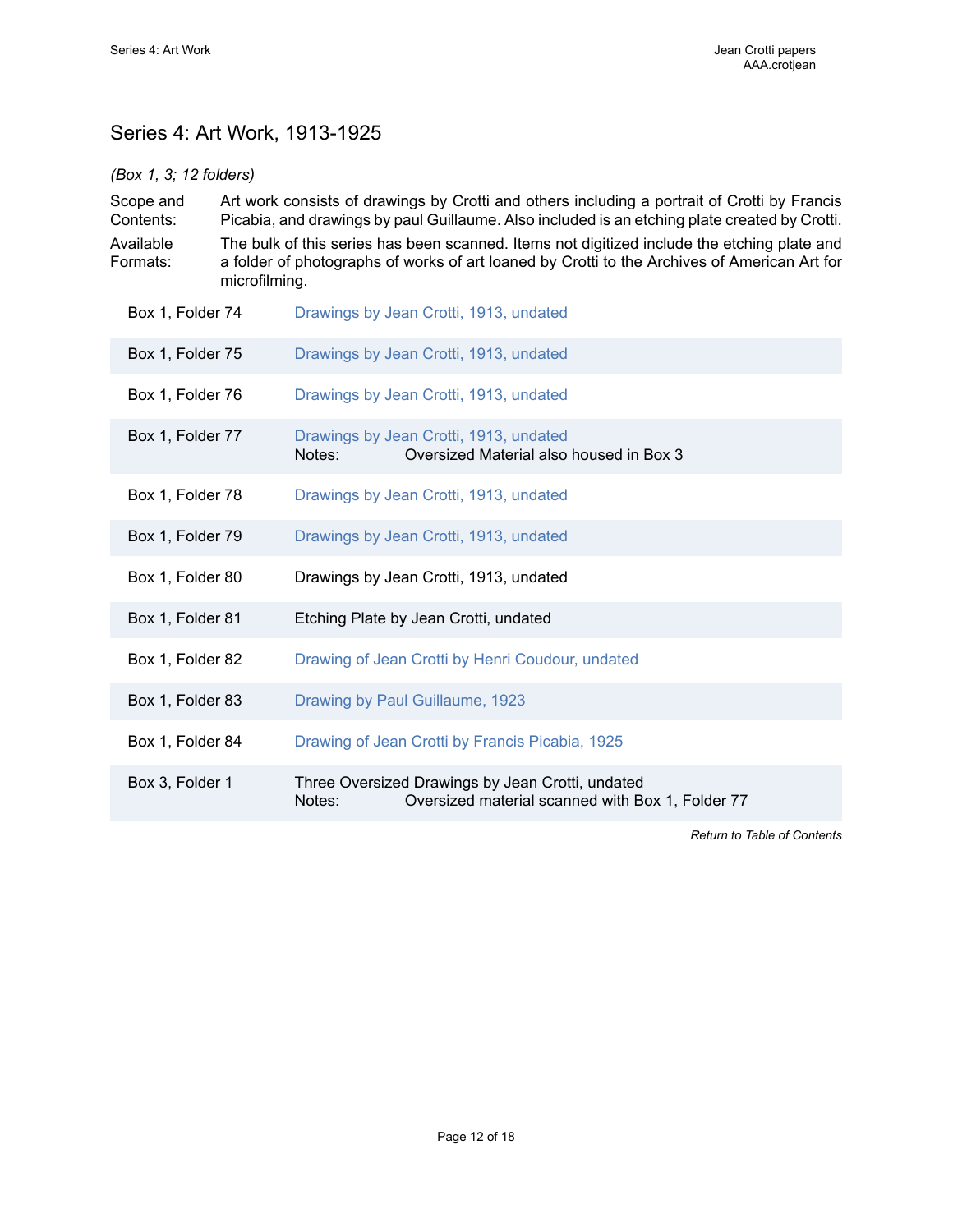# <span id="page-13-0"></span>Series 4: Art Work, 1913-1925

### *(Box 1, 3; 12 folders)*

| Scope and<br>Contents:<br>Available<br>Formats: | Art work consists of drawings by Crotti and others including a portrait of Crotti by Francis<br>Picabia, and drawings by paul Guillaume. Also included is an etching plate created by Crotti.<br>The bulk of this series has been scanned. Items not digitized include the etching plate and<br>a folder of photographs of works of art loaned by Crotti to the Archives of American Art for<br>microfilming. |
|-------------------------------------------------|---------------------------------------------------------------------------------------------------------------------------------------------------------------------------------------------------------------------------------------------------------------------------------------------------------------------------------------------------------------------------------------------------------------|
| Box 1, Folder 74                                | Drawings by Jean Crotti, 1913, undated                                                                                                                                                                                                                                                                                                                                                                        |
| Box 1, Folder 75                                | Drawings by Jean Crotti, 1913, undated                                                                                                                                                                                                                                                                                                                                                                        |
| Box 1, Folder 76                                | Drawings by Jean Crotti, 1913, undated                                                                                                                                                                                                                                                                                                                                                                        |
| Box 1, Folder 77                                | Drawings by Jean Crotti, 1913, undated<br>Oversized Material also housed in Box 3<br>Notes:                                                                                                                                                                                                                                                                                                                   |
| Box 1, Folder 78                                | Drawings by Jean Crotti, 1913, undated                                                                                                                                                                                                                                                                                                                                                                        |
| Box 1, Folder 79                                | Drawings by Jean Crotti, 1913, undated                                                                                                                                                                                                                                                                                                                                                                        |
| Box 1, Folder 80                                | Drawings by Jean Crotti, 1913, undated                                                                                                                                                                                                                                                                                                                                                                        |
| Box 1, Folder 81                                | Etching Plate by Jean Crotti, undated                                                                                                                                                                                                                                                                                                                                                                         |
| Box 1, Folder 82                                | Drawing of Jean Crotti by Henri Coudour, undated                                                                                                                                                                                                                                                                                                                                                              |
| Box 1, Folder 83                                | Drawing by Paul Guillaume, 1923                                                                                                                                                                                                                                                                                                                                                                               |
| Box 1, Folder 84                                | Drawing of Jean Crotti by Francis Picabia, 1925                                                                                                                                                                                                                                                                                                                                                               |
| Box 3, Folder 1                                 | Three Oversized Drawings by Jean Crotti, undated<br>Notes:<br>Oversized material scanned with Box 1, Folder 77                                                                                                                                                                                                                                                                                                |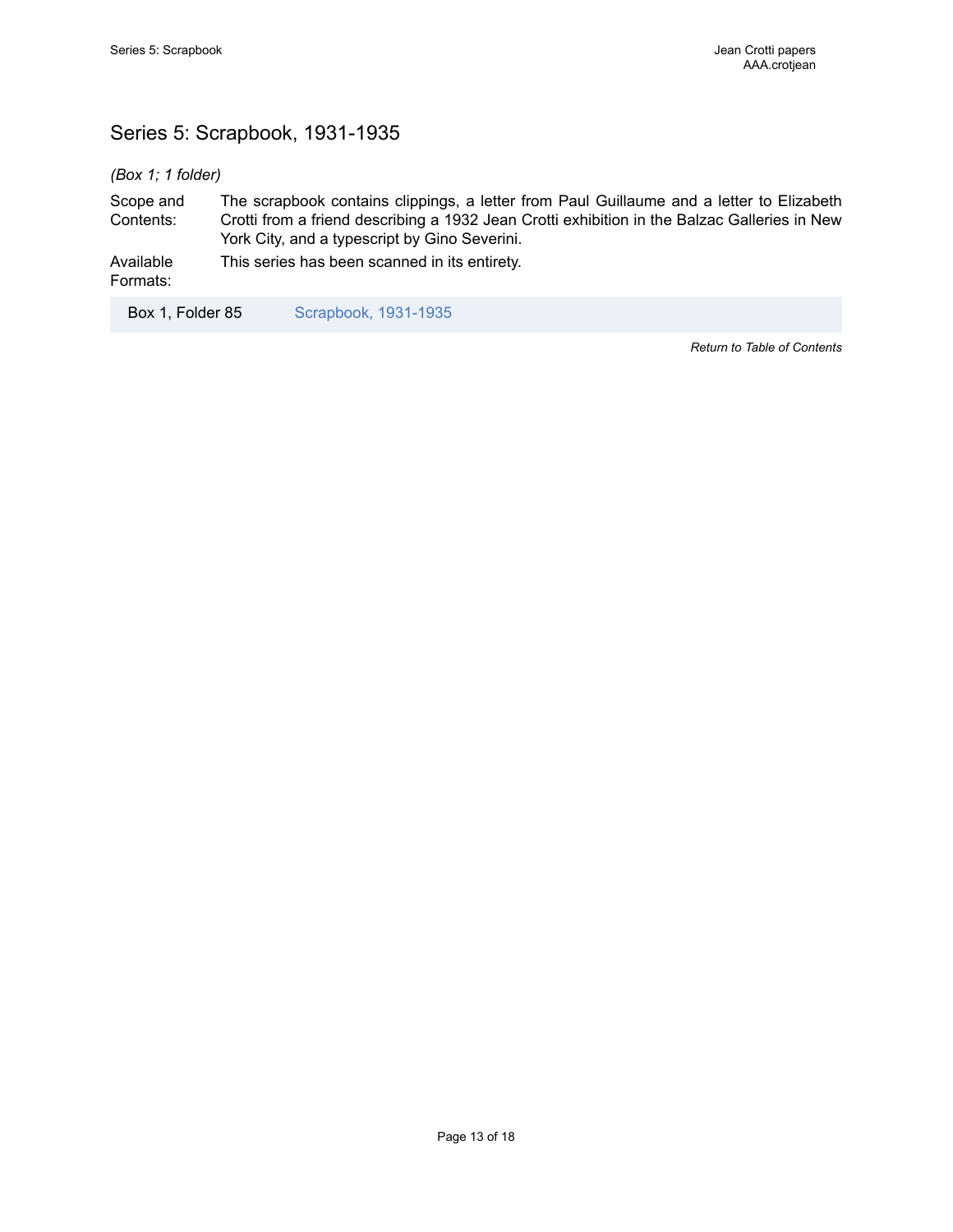# <span id="page-14-0"></span>Series 5: Scrapbook, 1931-1935

*(Box 1; 1 folder)*

Scope and Contents: The scrapbook contains clippings, a letter from Paul Guillaume and a letter to Elizabeth Crotti from a friend describing a 1932 Jean Crotti exhibition in the Balzac Galleries in New York City, and a typescript by Gino Severini.

Available This series has been scanned in its entirety.

Formats:

Box 1, Folder 85 [Scrapbook, 1931-1935](https://edan.si.edu/slideshow/slideshowViewer.htm?damspath=/CollectionsOnline/crotjean/Box_0001/Folder_085)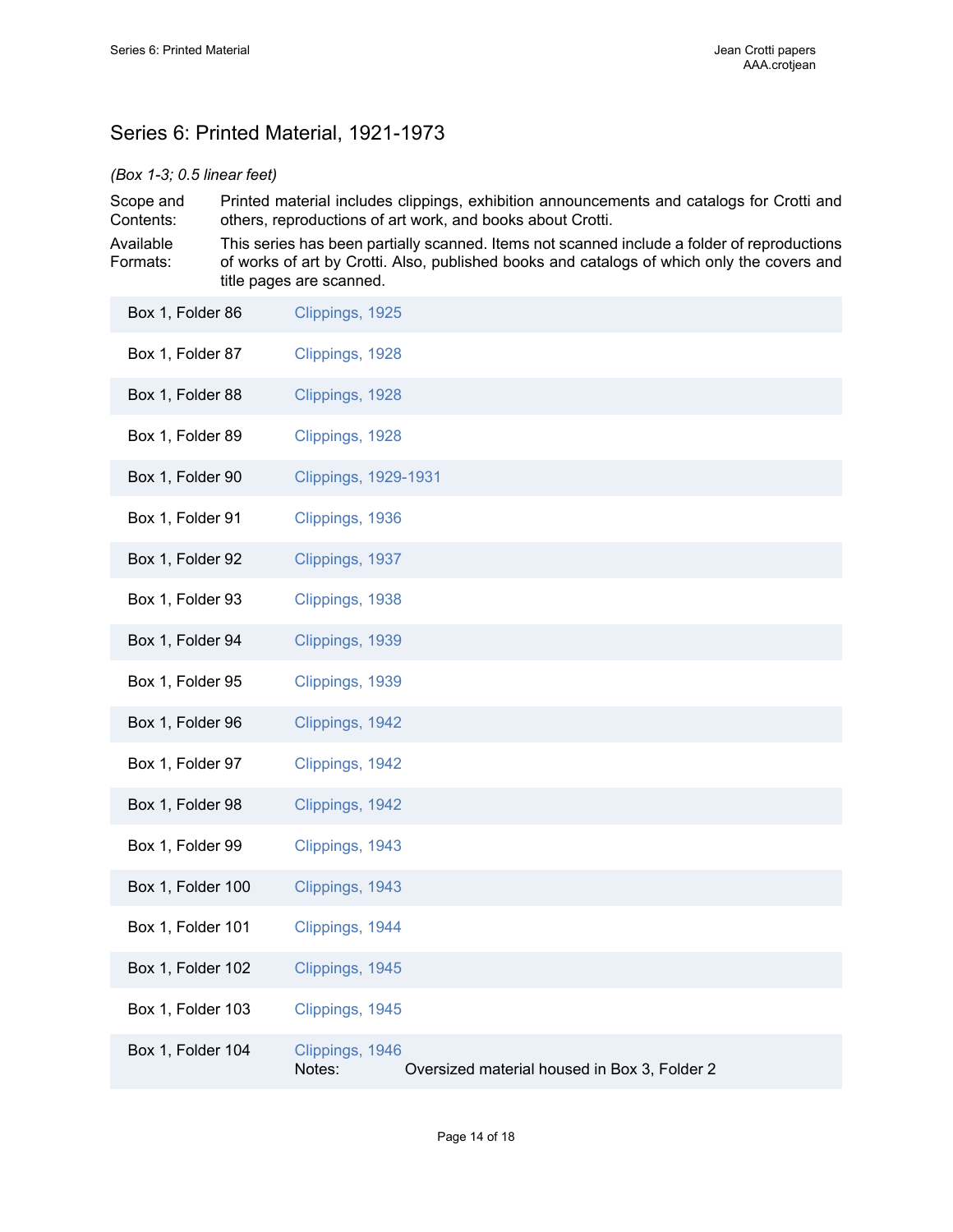# <span id="page-15-0"></span>Series 6: Printed Material, 1921-1973

### *(Box 1-3; 0.5 linear feet)*

Scope and Contents: Printed material includes clippings, exhibition announcements and catalogs for Crotti and others, reproductions of art work, and books about Crotti.

Available Formats: This series has been partially scanned. Items not scanned include a folder of reproductions of works of art by Crotti. Also, published books and catalogs of which only the covers and title pages are scanned.

| Box 1, Folder 86  | Clippings, 1925                                                           |
|-------------------|---------------------------------------------------------------------------|
| Box 1, Folder 87  | Clippings, 1928                                                           |
| Box 1, Folder 88  | Clippings, 1928                                                           |
| Box 1, Folder 89  | Clippings, 1928                                                           |
| Box 1, Folder 90  | <b>Clippings, 1929-1931</b>                                               |
| Box 1, Folder 91  | Clippings, 1936                                                           |
| Box 1, Folder 92  | Clippings, 1937                                                           |
| Box 1, Folder 93  | Clippings, 1938                                                           |
| Box 1, Folder 94  | Clippings, 1939                                                           |
| Box 1, Folder 95  | Clippings, 1939                                                           |
| Box 1, Folder 96  | Clippings, 1942                                                           |
| Box 1, Folder 97  | Clippings, 1942                                                           |
| Box 1, Folder 98  | Clippings, 1942                                                           |
| Box 1, Folder 99  | Clippings, 1943                                                           |
| Box 1, Folder 100 | Clippings, 1943                                                           |
| Box 1, Folder 101 | Clippings, 1944                                                           |
| Box 1, Folder 102 | Clippings, 1945                                                           |
| Box 1, Folder 103 | Clippings, 1945                                                           |
| Box 1, Folder 104 | Clippings, 1946<br>Notes:<br>Oversized material housed in Box 3, Folder 2 |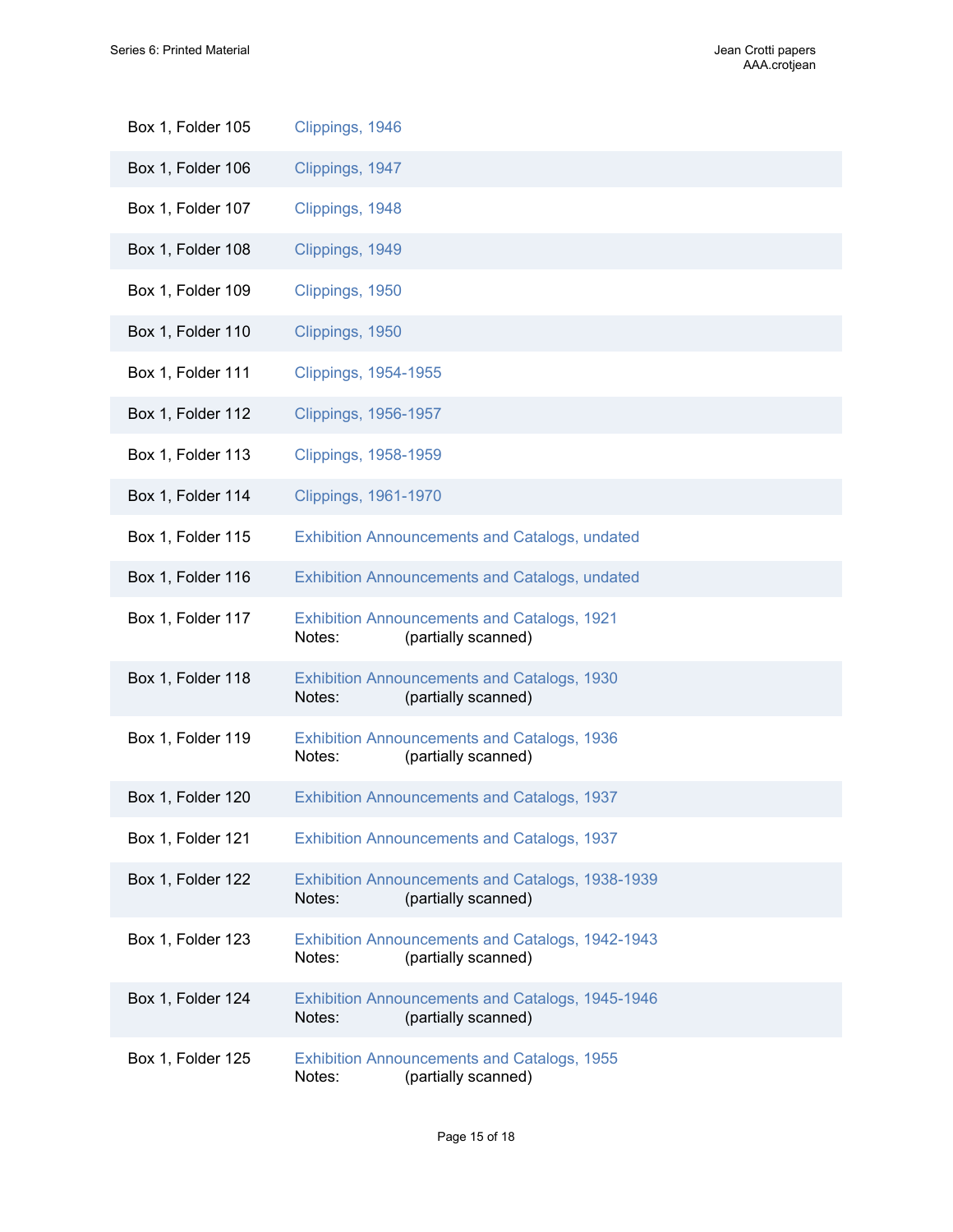| Box 1, Folder 105 | Clippings, 1946                                                                     |
|-------------------|-------------------------------------------------------------------------------------|
| Box 1, Folder 106 | Clippings, 1947                                                                     |
| Box 1, Folder 107 | Clippings, 1948                                                                     |
| Box 1, Folder 108 | Clippings, 1949                                                                     |
| Box 1, Folder 109 | Clippings, 1950                                                                     |
| Box 1, Folder 110 | Clippings, 1950                                                                     |
| Box 1, Folder 111 | Clippings, 1954-1955                                                                |
| Box 1, Folder 112 | <b>Clippings, 1956-1957</b>                                                         |
| Box 1, Folder 113 | <b>Clippings, 1958-1959</b>                                                         |
| Box 1, Folder 114 | <b>Clippings, 1961-1970</b>                                                         |
| Box 1, Folder 115 | <b>Exhibition Announcements and Catalogs, undated</b>                               |
| Box 1, Folder 116 | <b>Exhibition Announcements and Catalogs, undated</b>                               |
| Box 1, Folder 117 | <b>Exhibition Announcements and Catalogs, 1921</b><br>Notes:<br>(partially scanned) |
| Box 1, Folder 118 | <b>Exhibition Announcements and Catalogs, 1930</b><br>(partially scanned)<br>Notes: |
| Box 1, Folder 119 | <b>Exhibition Announcements and Catalogs, 1936</b><br>Notes:<br>(partially scanned) |
| Box 1, Folder 120 | <b>Exhibition Announcements and Catalogs, 1937</b>                                  |
| Box 1, Folder 121 | <b>Exhibition Announcements and Catalogs, 1937</b>                                  |
| Box 1, Folder 122 | Exhibition Announcements and Catalogs, 1938-1939<br>Notes:<br>(partially scanned)   |
| Box 1, Folder 123 | Exhibition Announcements and Catalogs, 1942-1943<br>(partially scanned)<br>Notes:   |
| Box 1, Folder 124 | Exhibition Announcements and Catalogs, 1945-1946<br>Notes:<br>(partially scanned)   |
| Box 1, Folder 125 | <b>Exhibition Announcements and Catalogs, 1955</b><br>(partially scanned)<br>Notes: |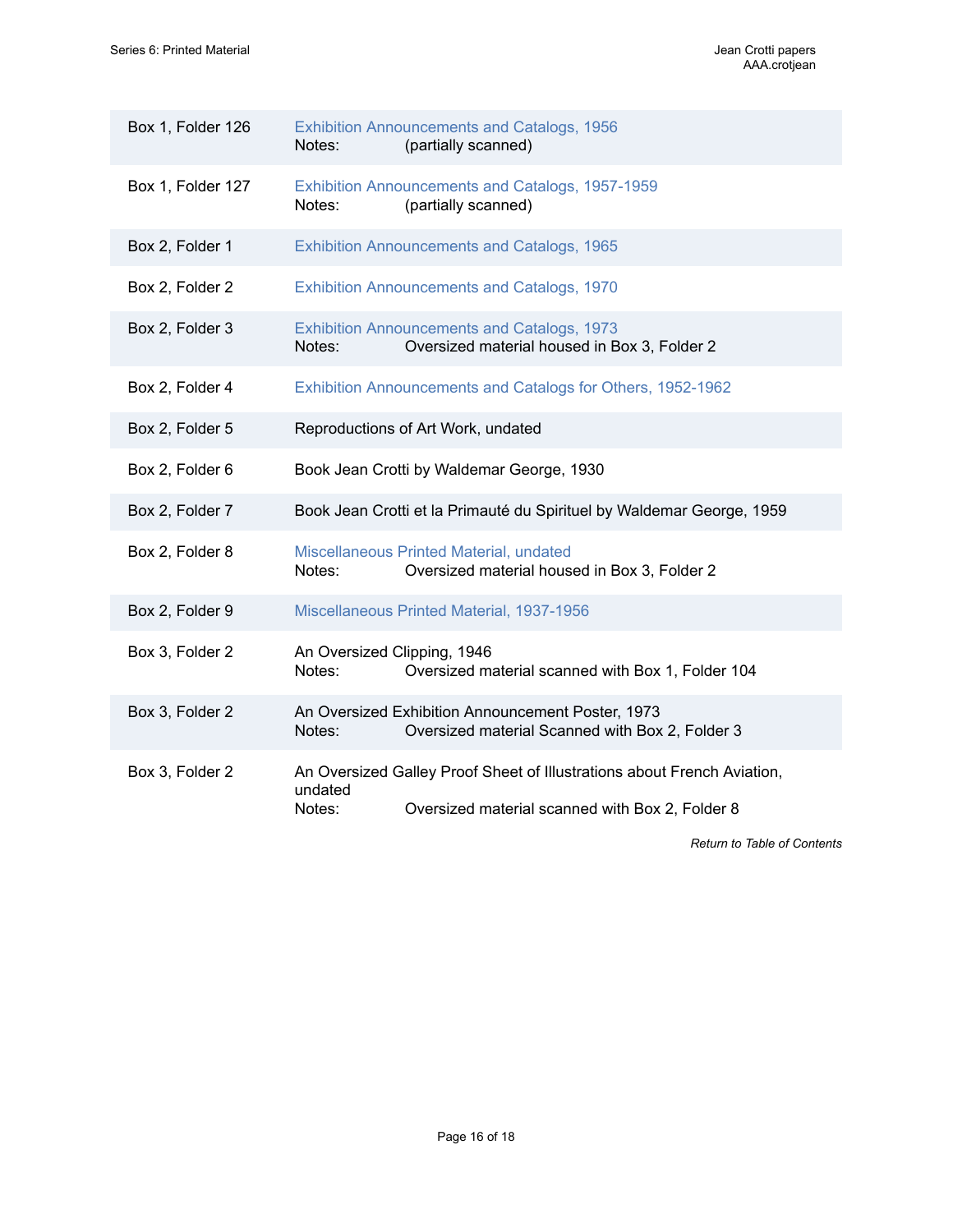| Box 1, Folder 126 | <b>Exhibition Announcements and Catalogs, 1956</b><br>(partially scanned)<br>Notes:                                                             |
|-------------------|-------------------------------------------------------------------------------------------------------------------------------------------------|
| Box 1, Folder 127 | Exhibition Announcements and Catalogs, 1957-1959<br>(partially scanned)<br>Notes:                                                               |
| Box 2, Folder 1   | <b>Exhibition Announcements and Catalogs, 1965</b>                                                                                              |
| Box 2, Folder 2   | <b>Exhibition Announcements and Catalogs, 1970</b>                                                                                              |
| Box 2, Folder 3   | <b>Exhibition Announcements and Catalogs, 1973</b><br>Oversized material housed in Box 3, Folder 2<br>Notes:                                    |
| Box 2, Folder 4   | Exhibition Announcements and Catalogs for Others, 1952-1962                                                                                     |
| Box 2, Folder 5   | Reproductions of Art Work, undated                                                                                                              |
| Box 2, Folder 6   | Book Jean Crotti by Waldemar George, 1930                                                                                                       |
| Box 2, Folder 7   | Book Jean Crotti et la Primauté du Spirituel by Waldemar George, 1959                                                                           |
| Box 2, Folder 8   | Miscellaneous Printed Material, undated<br>Notes:<br>Oversized material housed in Box 3, Folder 2                                               |
| Box 2, Folder 9   | Miscellaneous Printed Material, 1937-1956                                                                                                       |
| Box 3, Folder 2   | An Oversized Clipping, 1946<br>Oversized material scanned with Box 1, Folder 104<br>Notes:                                                      |
| Box 3, Folder 2   | An Oversized Exhibition Announcement Poster, 1973<br>Oversized material Scanned with Box 2, Folder 3<br>Notes:                                  |
| Box 3, Folder 2   | An Oversized Galley Proof Sheet of Illustrations about French Aviation,<br>undated<br>Notes:<br>Oversized material scanned with Box 2, Folder 8 |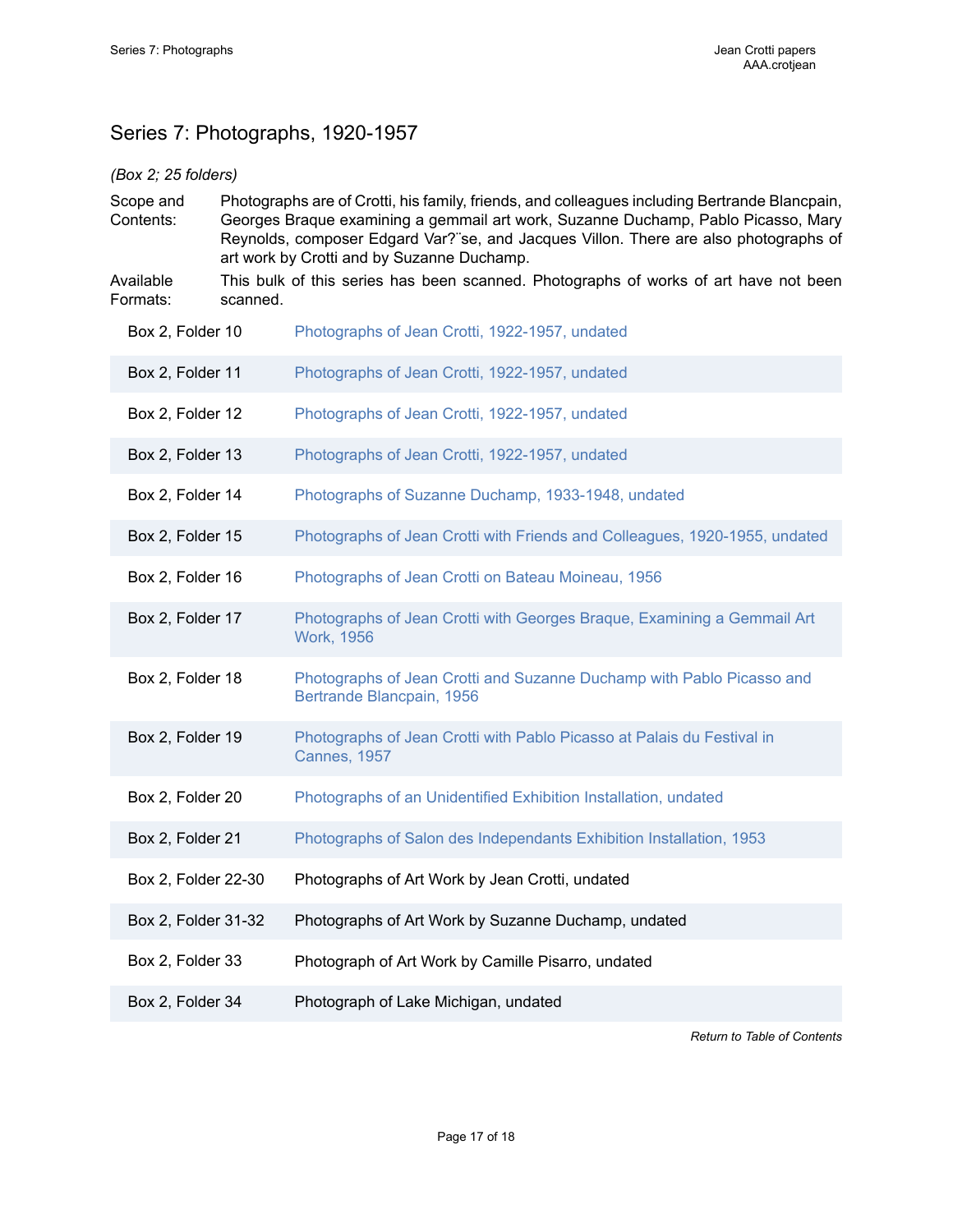# <span id="page-18-0"></span>Series 7: Photographs, 1920-1957

### *(Box 2; 25 folders)*

Scope and Contents: Photographs are of Crotti, his family, friends, and colleagues including Bertrande Blancpain, Georges Braque examining a gemmail art work, Suzanne Duchamp, Pablo Picasso, Mary Reynolds, composer Edgard Var?¨se, and Jacques Villon. There are also photographs of art work by Crotti and by Suzanne Duchamp.

Available Formats: This bulk of this series has been scanned. Photographs of works of art have not been scanned.

- Box 2, Folder 10 [Photographs of Jean Crotti, 1922-1957, undated](https://edan.si.edu/slideshow/slideshowViewer.htm?damspath=/CollectionsOnline/crotjean/Box_0002/Folder_010)
- Box 2, Folder 11 [Photographs of Jean Crotti, 1922-1957, undated](https://edan.si.edu/slideshow/slideshowViewer.htm?damspath=/CollectionsOnline/crotjean/Box_0002/Folder_011)
- Box 2, Folder 12 [Photographs of Jean Crotti, 1922-1957, undated](https://edan.si.edu/slideshow/slideshowViewer.htm?damspath=/CollectionsOnline/crotjean/Box_0002/Folder_012)
- Box 2, Folder 13 [Photographs of Jean Crotti, 1922-1957, undated](https://edan.si.edu/slideshow/slideshowViewer.htm?damspath=/CollectionsOnline/crotjean/Box_0002/Folder_013)
- Box 2, Folder 14 [Photographs of Suzanne Duchamp, 1933-1948, undated](https://edan.si.edu/slideshow/slideshowViewer.htm?damspath=/CollectionsOnline/crotjean/Box_0002/Folder_014)
- Box 2, Folder 15 [Photographs of Jean Crotti with Friends and Colleagues, 1920-1955, undated](https://edan.si.edu/slideshow/slideshowViewer.htm?damspath=/CollectionsOnline/crotjean/Box_0002/Folder_015)
- Box 2, Folder 16 [Photographs of Jean Crotti on Bateau Moineau, 1956](https://edan.si.edu/slideshow/slideshowViewer.htm?damspath=/CollectionsOnline/crotjean/Box_0002/Folder_016)
- Box 2, Folder 17 **[Photographs of Jean Crotti with Georges Braque, Examining a Gemmail Art](https://edan.si.edu/slideshow/slideshowViewer.htm?damspath=/CollectionsOnline/crotjean/Box_0002/Folder_017)** [Work,](https://edan.si.edu/slideshow/slideshowViewer.htm?damspath=/CollectionsOnline/crotjean/Box_0002/Folder_017) 1956
- Box 2, Folder 18 [Photographs of Jean Crotti and Suzanne Duchamp with Pablo Picasso and](https://edan.si.edu/slideshow/slideshowViewer.htm?damspath=/CollectionsOnline/crotjean/Box_0002/Folder_018) [Bertrande Blancpain, 1956](https://edan.si.edu/slideshow/slideshowViewer.htm?damspath=/CollectionsOnline/crotjean/Box_0002/Folder_018)
- Box 2, Folder 19 **[Photographs of Jean Crotti with Pablo Picasso at Palais du Festival in](https://edan.si.edu/slideshow/slideshowViewer.htm?damspath=/CollectionsOnline/crotjean/Box_0002/Folder_019)** [Cannes, 1957](https://edan.si.edu/slideshow/slideshowViewer.htm?damspath=/CollectionsOnline/crotjean/Box_0002/Folder_019)
- Box 2, Folder 20 **Photographs of an Unidentified Exhibition Installation**, undated
- Box 2, Folder 21 [Photographs of Salon des Independants Exhibition Installation, 1953](https://edan.si.edu/slideshow/slideshowViewer.htm?damspath=/CollectionsOnline/crotjean/Box_0002/Folder_021)
- Box 2, Folder 22-30 Photographs of Art Work by Jean Crotti, undated
- Box 2, Folder 31-32 Photographs of Art Work by Suzanne Duchamp, undated
- Box 2, Folder 33 Photograph of Art Work by Camille Pisarro, undated
- Box 2, Folder 34 Photograph of Lake Michigan, undated